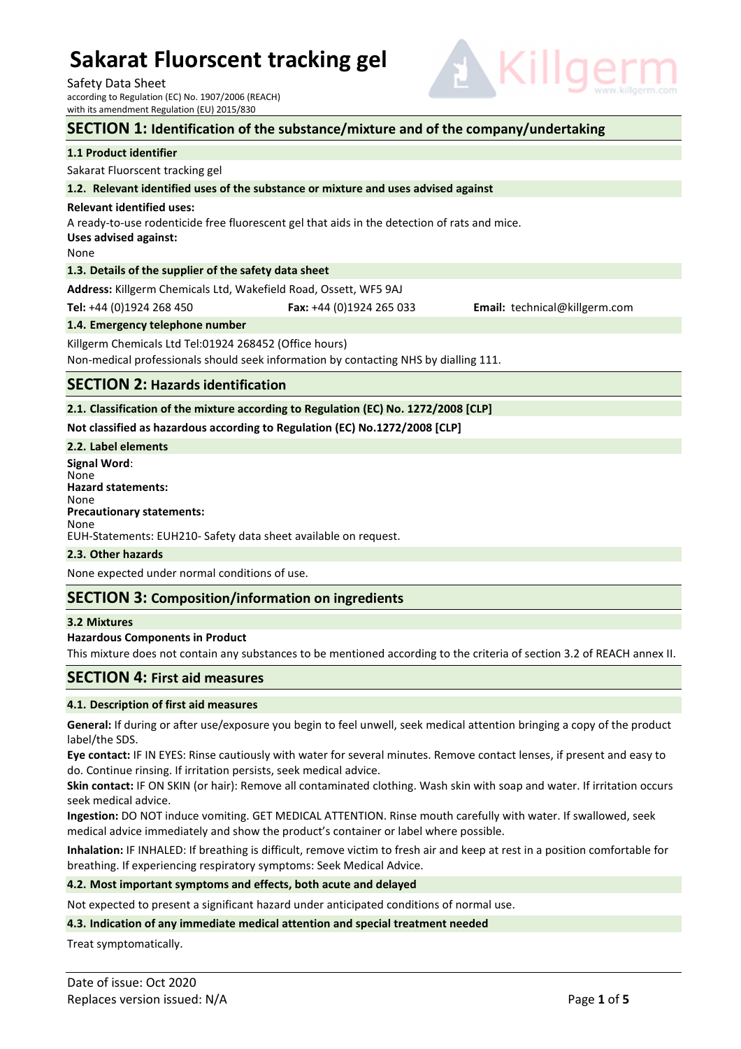Safety Data Sheet

according to Regulation (EC) No. 1907/2006 (REACH) with its amendment Regulation (EU) 2015/830

# E V

| with its amendment Regulation (EU) 2015/830                                                          |                                                                                              |                               |  |  |  |
|------------------------------------------------------------------------------------------------------|----------------------------------------------------------------------------------------------|-------------------------------|--|--|--|
| SECTION 1: Identification of the substance/mixture and of the company/undertaking                    |                                                                                              |                               |  |  |  |
| 1.1 Product identifier                                                                               |                                                                                              |                               |  |  |  |
| Sakarat Fluorscent tracking gel                                                                      |                                                                                              |                               |  |  |  |
| 1.2. Relevant identified uses of the substance or mixture and uses advised against                   |                                                                                              |                               |  |  |  |
| <b>Relevant identified uses:</b><br>Uses advised against:<br>None                                    | A ready-to-use rodenticide free fluorescent gel that aids in the detection of rats and mice. |                               |  |  |  |
| 1.3. Details of the supplier of the safety data sheet                                                |                                                                                              |                               |  |  |  |
| Address: Killgerm Chemicals Ltd, Wakefield Road, Ossett, WF5 9AJ                                     |                                                                                              |                               |  |  |  |
| Tel: +44 (0)1924 268 450                                                                             | Fax: $+44$ (0)1924 265 033                                                                   | Email: technical@killgerm.com |  |  |  |
| 1.4. Emergency telephone number                                                                      |                                                                                              |                               |  |  |  |
| Killgerm Chemicals Ltd Tel:01924 268452 (Office hours)                                               |                                                                                              |                               |  |  |  |
| Non-medical professionals should seek information by contacting NHS by dialling 111.                 |                                                                                              |                               |  |  |  |
| <b>SECTION 2: Hazards identification</b>                                                             |                                                                                              |                               |  |  |  |
|                                                                                                      | 2.1. Classification of the mixture according to Regulation (EC) No. 1272/2008 [CLP]          |                               |  |  |  |
| Not classified as hazardous according to Regulation (EC) No.1272/2008 [CLP]                          |                                                                                              |                               |  |  |  |
| 2.2. Label elements                                                                                  |                                                                                              |                               |  |  |  |
| <b>Signal Word:</b><br>None<br><b>Hazard statements:</b><br>None<br><b>Precautionary statements:</b> |                                                                                              |                               |  |  |  |

#### **2.3. Other hazards**

None expected under normal conditions of use.

## **SECTION 3: Composition/information on ingredients**

EUH-Statements: EUH210- Safety data sheet available on request.

#### **3.2 Mixtures**

None

#### **Hazardous Components in Product**

This mixture does not contain any substances to be mentioned according to the criteria of section 3.2 of REACH annex II.

#### **SECTION 4: First aid measures**

#### **4.1. Description of first aid measures**

**General:** If during or after use/exposure you begin to feel unwell, seek medical attention bringing a copy of the product label/the SDS.

**Eye contact:** IF IN EYES: Rinse cautiously with water for several minutes. Remove contact lenses, if present and easy to do. Continue rinsing. If irritation persists, seek medical advice.

**Skin contact:** IF ON SKIN (or hair): Remove all contaminated clothing. Wash skin with soap and water. If irritation occurs seek medical advice.

**Ingestion:** DO NOT induce vomiting. GET MEDICAL ATTENTION. Rinse mouth carefully with water. If swallowed, seek medical advice immediately and show the product's container or label where possible.

**Inhalation:** IF INHALED: If breathing is difficult, remove victim to fresh air and keep at rest in a position comfortable for breathing. If experiencing respiratory symptoms: Seek Medical Advice.

#### **4.2. Most important symptoms and effects, both acute and delayed**

Not expected to present a significant hazard under anticipated conditions of normal use.

#### **4.3. Indication of any immediate medical attention and special treatment needed**

Treat symptomatically.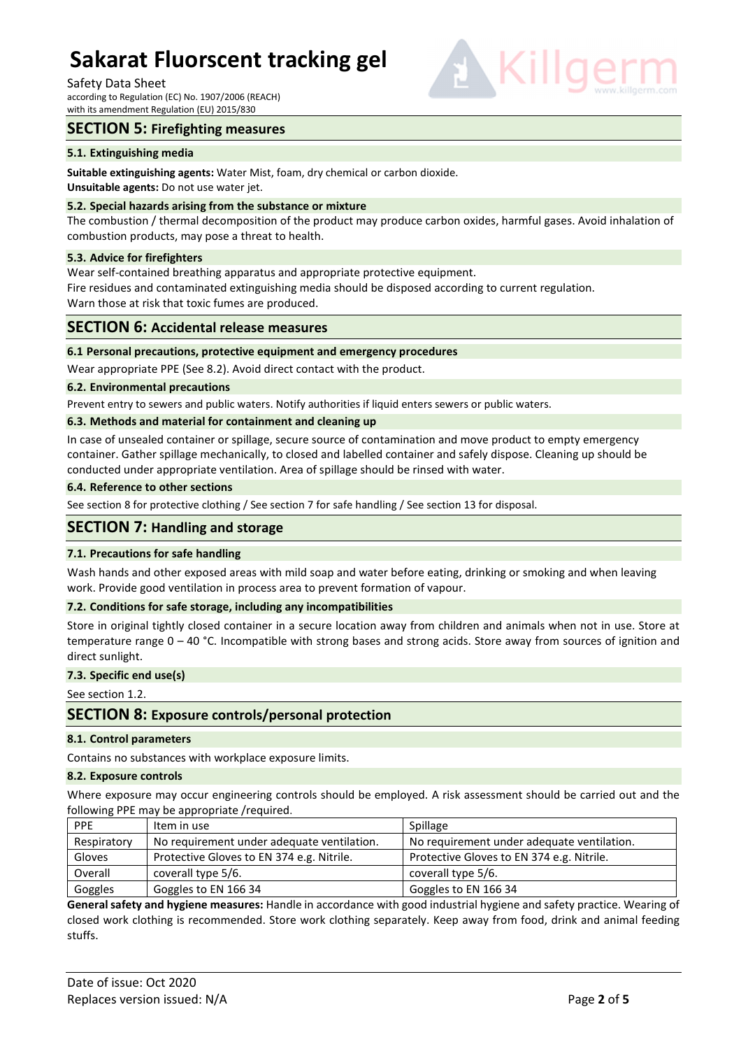Safety Data Sheet

according to Regulation (EC) No. 1907/2006 (REACH) with its amendment Regulation (EU) 2015/830

# **SECTION 5: Firefighting measures**

#### **5.1. Extinguishing media**

**Suitable extinguishing agents:** Water Mist, foam, dry chemical or carbon dioxide.

**Unsuitable agents:** Do not use water jet.

#### **5.2. Special hazards arising from the substance or mixture**

The combustion / thermal decomposition of the product may produce carbon oxides, harmful gases. Avoid inhalation of combustion products, may pose a threat to health.

#### **5.3. Advice for firefighters**

Wear self-contained breathing apparatus and appropriate protective equipment.

Fire residues and contaminated extinguishing media should be disposed according to current regulation. Warn those at risk that toxic fumes are produced.

# **SECTION 6: Accidental release measures**

#### **6.1 Personal precautions, protective equipment and emergency procedures**

Wear appropriate PPE (See 8.2). Avoid direct contact with the product.

#### **6.2. Environmental precautions**

Prevent entry to sewers and public waters. Notify authorities if liquid enters sewers or public waters.

#### **6.3. Methods and material for containment and cleaning up**

In case of unsealed container or spillage, secure source of contamination and move product to empty emergency container. Gather spillage mechanically, to closed and labelled container and safely dispose. Cleaning up should be conducted under appropriate ventilation. Area of spillage should be rinsed with water.

#### **6.4. Reference to other sections**

See section 8 for protective clothing / See section 7 for safe handling / See section 13 for disposal.

## **SECTION 7: Handling and storage**

#### **7.1. Precautions for safe handling**

Wash hands and other exposed areas with mild soap and water before eating, drinking or smoking and when leaving work. Provide good ventilation in process area to prevent formation of vapour.

#### **7.2. Conditions for safe storage, including any incompatibilities**

Store in original tightly closed container in a secure location away from children and animals when not in use. Store at temperature range 0 – 40 °C. Incompatible with strong bases and strong acids. Store away from sources of ignition and direct sunlight.

#### **7.3. Specific end use(s)**

See section 1.2.

# **SECTION 8: Exposure controls/personal protection**

#### **8.1. Control parameters**

Contains no substances with workplace exposure limits.

#### **8.2. Exposure controls**

Where exposure may occur engineering controls should be employed. A risk assessment should be carried out and the following PPE may be appropriate /required.

| <b>PPE</b>  | Item in use                                | Spillage                                   |
|-------------|--------------------------------------------|--------------------------------------------|
| Respiratory | No requirement under adequate ventilation. | No requirement under adequate ventilation. |
| Gloves      | Protective Gloves to EN 374 e.g. Nitrile.  | Protective Gloves to EN 374 e.g. Nitrile.  |
| Overall     | coverall type 5/6.                         | coverall type 5/6.                         |
| Goggles     | Goggles to EN 166 34                       | Goggles to EN 166 34                       |

**General safety and hygiene measures:** Handle in accordance with good industrial hygiene and safety practice. Wearing of closed work clothing is recommended. Store work clothing separately. Keep away from food, drink and animal feeding stuffs.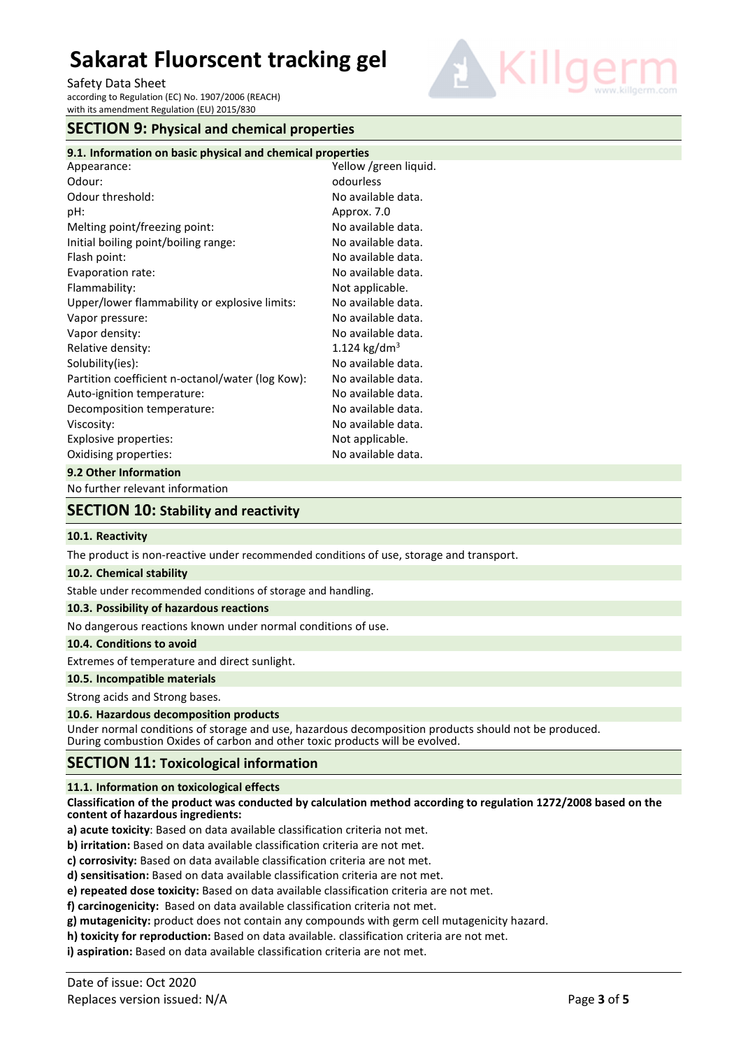Safety Data Sheet according to Regulation (EC) No. 1907/2006 (REACH) with its amendment Regulation (EU) 2015/830



# **SECTION 9: Physical and chemical properties**

| 9.1. Information on basic physical and chemical properties |                          |
|------------------------------------------------------------|--------------------------|
| Appearance:                                                | Yellow /green liquid.    |
| Odour:                                                     | odourless                |
| Odour threshold:                                           | No available data.       |
| pH:                                                        | Approx. 7.0              |
| Melting point/freezing point:                              | No available data.       |
| Initial boiling point/boiling range:                       | No available data.       |
| Flash point:                                               | No available data.       |
| Evaporation rate:                                          | No available data.       |
| Flammability:                                              | Not applicable.          |
| Upper/lower flammability or explosive limits:              | No available data.       |
| Vapor pressure:                                            | No available data.       |
| Vapor density:                                             | No available data.       |
| Relative density:                                          | 1.124 kg/dm <sup>3</sup> |
| Solubility(ies):                                           | No available data.       |
| Partition coefficient n-octanol/water (log Kow):           | No available data.       |
| Auto-ignition temperature:                                 | No available data.       |
| Decomposition temperature:                                 | No available data.       |
| Viscosity:                                                 | No available data.       |
| Explosive properties:                                      | Not applicable.          |
| Oxidising properties:                                      | No available data.       |
| 9.2 Other Information                                      |                          |

No further relevant information

# **SECTION 10: Stability and reactivity**

#### **10.1. Reactivity**

The product is non-reactive under recommended conditions of use, storage and transport.

#### **10.2. Chemical stability**

Stable under recommended conditions of storage and handling.

## **10.3. Possibility of hazardous reactions**

No dangerous reactions known under normal conditions of use.

#### **10.4. Conditions to avoid**

Extremes of temperature and direct sunlight.

## **10.5. Incompatible materials**

Strong acids and Strong bases.

#### **10.6. Hazardous decomposition products**

Under normal conditions of storage and use, hazardous decomposition products should not be produced. During combustion Oxides of carbon and other toxic products will be evolved.

## **SECTION 11: Toxicological information**

#### **11.1. Information on toxicological effects**

**Classification of the product was conducted by calculation method according to regulation 1272/2008 based on the content of hazardous ingredients:** 

**a) acute toxicity**: Based on data available classification criteria not met.

- **b) irritation:** Based on data available classification criteria are not met.
- **c) corrosivity:** Based on data available classification criteria are not met.
- **d) sensitisation:** Based on data available classification criteria are not met.
- **e) repeated dose toxicity:** Based on data available classification criteria are not met.

**f) carcinogenicity:** Based on data available classification criteria not met.

- **g) mutagenicity:** product does not contain any compounds with germ cell mutagenicity hazard.
- **h) toxicity for reproduction:** Based on data available. classification criteria are not met.

**i) aspiration:** Based on data available classification criteria are not met.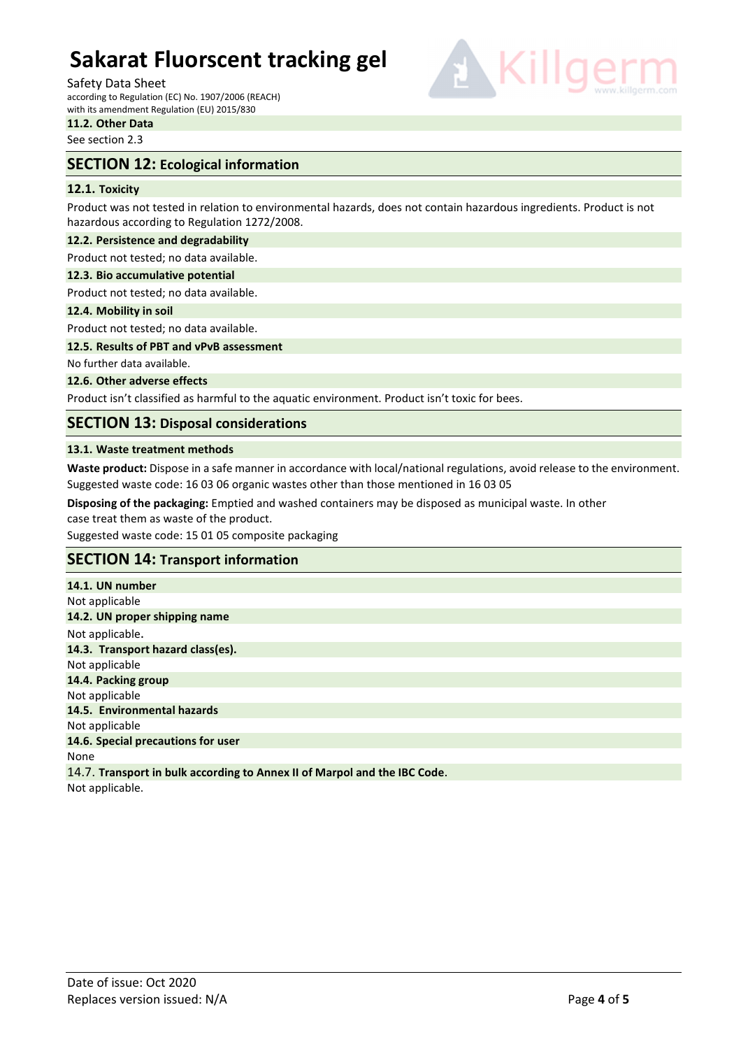#### Safety Data Sheet

according to Regulation (EC) No. 1907/2006 (REACH) with its amendment Regulation (EU) 2015/830



**11.2. Other Data**  See section 2.3

# **SECTION 12: Ecological information**

## **12.1. Toxicity**

Product was not tested in relation to environmental hazards, does not contain hazardous ingredients. Product is not hazardous according to Regulation 1272/2008.

#### **12.2. Persistence and degradability**

Product not tested; no data available.

#### **12.3. Bio accumulative potential**

Product not tested; no data available.

#### **12.4. Mobility in soil**

Product not tested; no data available.

**12.5. Results of PBT and vPvB assessment** 

No further data available.

#### **12.6. Other adverse effects**

Product isn't classified as harmful to the aquatic environment. Product isn't toxic for bees.

# **SECTION 13: Disposal considerations**

#### **13.1. Waste treatment methods**

**Waste product:** Dispose in a safe manner in accordance with local/national regulations, avoid release to the environment. Suggested waste code: 16 03 06 organic wastes other than those mentioned in 16 03 05

**Disposing of the packaging:** Emptied and washed containers may be disposed as municipal waste. In other case treat them as waste of the product.

Suggested waste code: 15 01 05 composite packaging

# **SECTION 14: Transport information**

**14.1. UN number**  Not applicable **14.2. UN proper shipping name**  Not applicable. **14.3. Transport hazard class(es).**  Not applicable **14.4. Packing group**  Not applicable **14.5. Environmental hazards**  Not applicable **14.6. Special precautions for user**  None 14.7. **Transport in bulk according to Annex II of Marpol and the IBC Code**.

Not applicable.